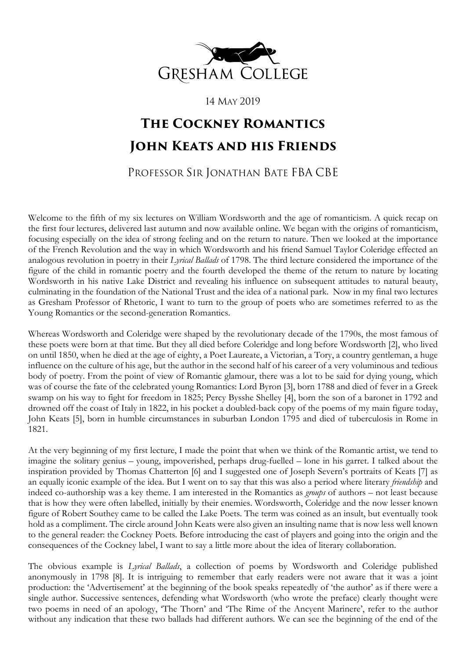

14 MAY 2019

## **The Cockney Romantics John Keats and his Friends**

## PROFESSOR SIR JONATHAN BATE FBA CBE

Welcome to the fifth of my six lectures on William Wordsworth and the age of romanticism. A quick recap on the first four lectures, delivered last autumn and now available online. We began with the origins of romanticism, focusing especially on the idea of strong feeling and on the return to nature. Then we looked at the importance of the French Revolution and the way in which Wordsworth and his friend Samuel Taylor Coleridge effected an analogous revolution in poetry in their *Lyrical Ballads* of 1798. The third lecture considered the importance of the figure of the child in romantic poetry and the fourth developed the theme of the return to nature by locating Wordsworth in his native Lake District and revealing his influence on subsequent attitudes to natural beauty, culminating in the foundation of the National Trust and the idea of a national park. Now in my final two lectures as Gresham Professor of Rhetoric, I want to turn to the group of poets who are sometimes referred to as the Young Romantics or the second-generation Romantics.

Whereas Wordsworth and Coleridge were shaped by the revolutionary decade of the 1790s, the most famous of these poets were born at that time. But they all died before Coleridge and long before Wordsworth [2], who lived on until 1850, when he died at the age of eighty, a Poet Laureate, a Victorian, a Tory, a country gentleman, a huge influence on the culture of his age, but the author in the second half of his career of a very voluminous and tedious body of poetry. From the point of view of Romantic glamour, there was a lot to be said for dying young, which was of course the fate of the celebrated young Romantics: Lord Byron [3], born 1788 and died of fever in a Greek swamp on his way to fight for freedom in 1825; Percy Bysshe Shelley [4], born the son of a baronet in 1792 and drowned off the coast of Italy in 1822, in his pocket a doubled-back copy of the poems of my main figure today, John Keats [5], born in humble circumstances in suburban London 1795 and died of tuberculosis in Rome in 1821.

At the very beginning of my first lecture, I made the point that when we think of the Romantic artist, we tend to imagine the solitary genius – young, impoverished, perhaps drug-fuelled – lone in his garret. I talked about the inspiration provided by Thomas Chatterton [6] and I suggested one of Joseph Severn's portraits of Keats [7] as an equally iconic example of the idea. But I went on to say that this was also a period where literary *friendship* and indeed co-authorship was a key theme. I am interested in the Romantics as *groups* of authors – not least because that is how they were often labelled, initially by their enemies. Wordsworth, Coleridge and the now lesser known figure of Robert Southey came to be called the Lake Poets. The term was coined as an insult, but eventually took hold as a compliment. The circle around John Keats were also given an insulting name that is now less well known to the general reader: the Cockney Poets. Before introducing the cast of players and going into the origin and the consequences of the Cockney label, I want to say a little more about the idea of literary collaboration.

The obvious example is *Lyrical Ballads*, a collection of poems by Wordsworth and Coleridge published anonymously in 1798 [8]. It is intriguing to remember that early readers were not aware that it was a joint production: the 'Advertisement' at the beginning of the book speaks repeatedly of 'the author' as if there were a single author. Successive sentences, defending what Wordsworth (who wrote the preface) clearly thought were two poems in need of an apology, 'The Thorn' and 'The Rime of the Ancyent Marinere', refer to the author without any indication that these two ballads had different authors. We can see the beginning of the end of the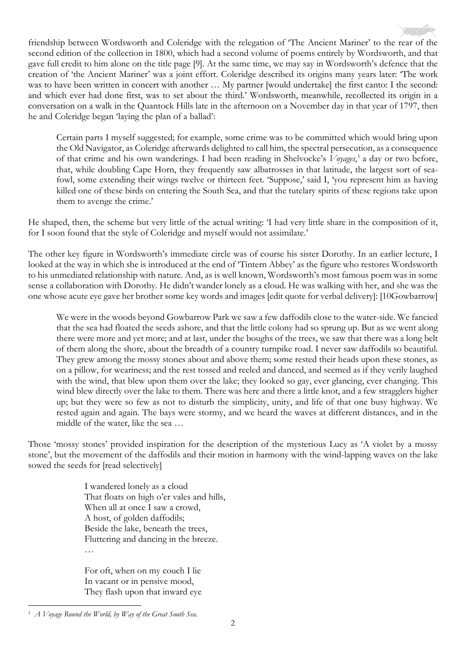friendship between Wordsworth and Coleridge with the relegation of 'The Ancient Mariner' to the rear of the second edition of the collection in 1800, which had a second volume of poems entirely by Wordsworth, and that gave full credit to him alone on the title page [9]. At the same time, we may say in Wordsworth's defence that the creation of 'the Ancient Mariner' was a joint effort. Coleridge described its origins many years later: 'The work was to have been written in concert with another ... My partner [would undertake] the first canto: I the second: and which ever had done first, was to set about the third.' Wordsworth, meanwhile, recollected its origin in a conversation on a walk in the Quantock Hills late in the afternoon on a November day in that year of 1797, then he and Coleridge began 'laying the plan of a ballad':

Certain parts I myself suggested; for example, some crime was to be committed which would bring upon the Old Navigator, as Coleridge afterwards delighted to call him, the spectral persecution, as a consequence of that crime and his own wanderings. I had been reading in Shelvocke's *Voyages*, [1](#page-1-0) a day or two before, that, while doubling Cape Horn, they frequently saw albatrosses in that latitude, the largest sort of seafowl, some extending their wings twelve or thirteen feet. 'Suppose,' said I, 'you represent him as having killed one of these birds on entering the South Sea, and that the tutelary spirits of these regions take upon them to avenge the crime.'

He shaped, then, the scheme but very little of the actual writing: 'I had very little share in the composition of it, for I soon found that the style of Coleridge and myself would not assimilate.'

The other key figure in Wordsworth's immediate circle was of course his sister Dorothy. In an earlier lecture, I looked at the way in which she is introduced at the end of 'Tintern Abbey' as the figure who restores Wordsworth to his unmediated relationship with nature. And, as is well known, Wordsworth's most famous poem was in some sense a collaboration with Dorothy. He didn't wander lonely as a cloud. He was walking with her, and she was the one whose acute eye gave her brother some key words and images [edit quote for verbal delivery]: [10Gowbarrow]

We were in the woods beyond Gowbarrow Park we saw a few daffodils close to the water-side. We fancied that the sea had floated the seeds ashore, and that the little colony had so sprung up. But as we went along there were more and yet more; and at last, under the boughs of the trees, we saw that there was a long belt of them along the shore, about the breadth of a country turnpike road. I never saw daffodils so beautiful. They grew among the mossy stones about and above them; some rested their heads upon these stones, as on a pillow, for weariness; and the rest tossed and reeled and danced, and seemed as if they verily laughed with the wind, that blew upon them over the lake; they looked so gay, ever glancing, ever changing. This wind blew directly over the lake to them. There was here and there a little knot, and a few stragglers higher up; but they were so few as not to disturb the simplicity, unity, and life of that one busy highway. We rested again and again. The bays were stormy, and we heard the waves at different distances, and in the middle of the water, like the sea …

Those 'mossy stones' provided inspiration for the description of the mysterious Lucy as 'A violet by a mossy stone', but the movement of the daffodils and their motion in harmony with the wind-lapping waves on the lake sowed the seeds for [read selectively]

> I wandered lonely as a cloud That floats on high o'er vales and hills, When all at once I saw a crowd, A host, of golden daffodils; Beside the lake, beneath the trees, Fluttering and dancing in the breeze. …

For oft, when on my couch I lie In vacant or in pensive mood, They flash upon that inward eye

<span id="page-1-0"></span><sup>1</sup> *A Voyage Round the World, by Way of the Great South Sea*.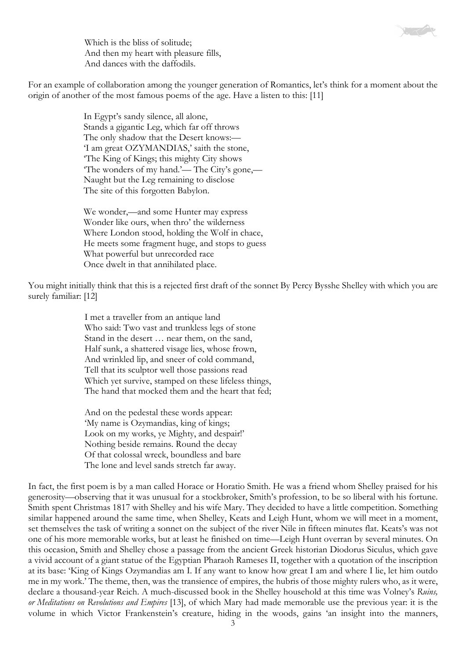Which is the bliss of solitude; And then my heart with pleasure fills, And dances with the daffodils.

For an example of collaboration among the younger generation of Romantics, let's think for a moment about the origin of another of the most famous poems of the age. Have a listen to this: [11]

> In Egypt's sandy silence, all alone, Stands a gigantic Leg, which far off throws The only shadow that the Desert knows:— 'I am great OZYMANDIAS,' saith the stone, 'The King of Kings; this mighty City shows 'The wonders of my hand.'— The City's gone,— Naught but the Leg remaining to disclose The site of this forgotten Babylon.

We wonder,—and some Hunter may express Wonder like ours, when thro' the wilderness Where London stood, holding the Wolf in chace, He meets some fragment huge, and stops to guess What powerful but unrecorded race Once dwelt in that annihilated place.

You might initially think that this is a rejected first draft of the sonnet By Percy Bysshe Shelley with which you are surely familiar: [12]

> I met a traveller from an antique land Who said: Two vast and trunkless legs of stone Stand in the desert … near them, on the sand, Half sunk, a shattered visage lies, whose frown, And wrinkled lip, and sneer of cold command, Tell that its sculptor well those passions read Which yet survive, stamped on these lifeless things, The hand that mocked them and the heart that fed;

And on the pedestal these words appear: 'My name is Ozymandias, king of kings; Look on my works, ye Mighty, and despair!' Nothing beside remains. Round the decay Of that colossal wreck, boundless and bare The lone and level sands stretch far away.

In fact, the first poem is by a man called Horace or Horatio Smith. He was a friend whom Shelley praised for his generosity—observing that it was unusual for a stockbroker, Smith's profession, to be so liberal with his fortune. Smith spent Christmas 1817 with Shelley and his wife Mary. They decided to have a little competition. Something similar happened around the same time, when Shelley, Keats and Leigh Hunt, whom we will meet in a moment, set themselves the task of writing a sonnet on the subject of the river Nile in fifteen minutes flat. Keats's was not one of his more memorable works, but at least he finished on time—Leigh Hunt overran by several minutes. On this occasion, Smith and Shelley chose a passage from the ancient Greek historian Diodorus Siculus, which gave a vivid account of a giant statue of the Egyptian Pharaoh Rameses II, together with a quotation of the inscription at its base: 'King of Kings Ozymandias am I. If any want to know how great I am and where I lie, let him outdo me in my work.' The theme, then, was the transience of empires, the hubris of those mighty rulers who, as it were, declare a thousand-year Reich. A much-discussed book in the Shelley household at this time was Volney's *Ruins, or Meditations on Revolutions and Empires* [13], of which Mary had made memorable use the previous year: it is the volume in which Victor Frankenstein's creature, hiding in the woods, gains 'an insight into the manners,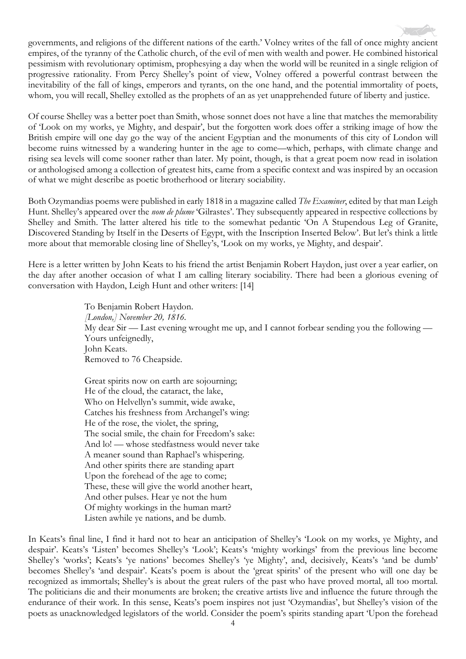governments, and religions of the different nations of the earth.' Volney writes of the fall of once mighty ancient empires, of the tyranny of the Catholic church, of the evil of men with wealth and power. He combined historical pessimism with revolutionary optimism, prophesying a day when the world will be reunited in a single religion of progressive rationality. From Percy Shelley's point of view, Volney offered a powerful contrast between the inevitability of the fall of kings, emperors and tyrants, on the one hand, and the potential immortality of poets, whom, you will recall, Shelley extolled as the prophets of an as yet unapprehended future of liberty and justice.

Of course Shelley was a better poet than Smith, whose sonnet does not have a line that matches the memorability of 'Look on my works, ye Mighty, and despair', but the forgotten work does offer a striking image of how the British empire will one day go the way of the ancient Egyptian and the monuments of this city of London will become ruins witnessed by a wandering hunter in the age to come—which, perhaps, with climate change and rising sea levels will come sooner rather than later. My point, though, is that a great poem now read in isolation or anthologised among a collection of greatest hits, came from a specific context and was inspired by an occasion of what we might describe as poetic brotherhood or literary sociability.

Both Ozymandias poems were published in early 1818 in a magazine called *The Examiner*, edited by that man Leigh Hunt. Shelley's appeared over the *nom de plume* 'Gilrastes'. They subsequently appeared in respective collections by Shelley and Smith. The latter altered his title to the somewhat pedantic 'On A Stupendous Leg of Granite, Discovered Standing by Itself in the Deserts of Egypt, with the Inscription Inserted Below'. But let's think a little more about that memorable closing line of Shelley's, 'Look on my works, ye Mighty, and despair'.

Here is a letter written by John Keats to his friend the artist Benjamin Robert Haydon, just over a year earlier, on the day after another occasion of what I am calling literary sociability. There had been a glorious evening of conversation with Haydon, Leigh Hunt and other writers: [14]

> To Benjamin Robert Haydon. *[London,] November 20, 1816.* My dear Sir — Last evening wrought me up, and I cannot forbear sending you the following — Yours unfeignedly, John Keats. Removed to 76 Cheapside.

Great spirits now on earth are sojourning; He of the cloud, the cataract, the lake, Who on Helvellyn's summit, wide awake, Catches his freshness from Archangel's wing: He of the rose, the violet, the spring, The social smile, the chain for Freedom's sake: And lo! — whose stedfastness would never take A meaner sound than Raphael's whispering. And other spirits there are standing apart Upon the forehead of the age to come; These, these will give the world another heart, And other pulses. Hear ye not the hum Of mighty workings in the human mart? Listen awhile ye nations, and be dumb.

In Keats's final line, I find it hard not to hear an anticipation of Shelley's 'Look on my works, ye Mighty, and despair'. Keats's 'Listen' becomes Shelley's 'Look'; Keats's 'mighty workings' from the previous line become Shelley's 'works'; Keats's 'ye nations' becomes Shelley's 'ye Mighty', and, decisively, Keats's 'and be dumb' becomes Shelley's 'and despair'. Keats's poem is about the 'great spirits' of the present who will one day be recognized as immortals; Shelley's is about the great rulers of the past who have proved mortal, all too mortal. The politicians die and their monuments are broken; the creative artists live and influence the future through the endurance of their work. In this sense, Keats's poem inspires not just 'Ozymandias', but Shelley's vision of the poets as unacknowledged legislators of the world. Consider the poem's spirits standing apart 'Upon the forehead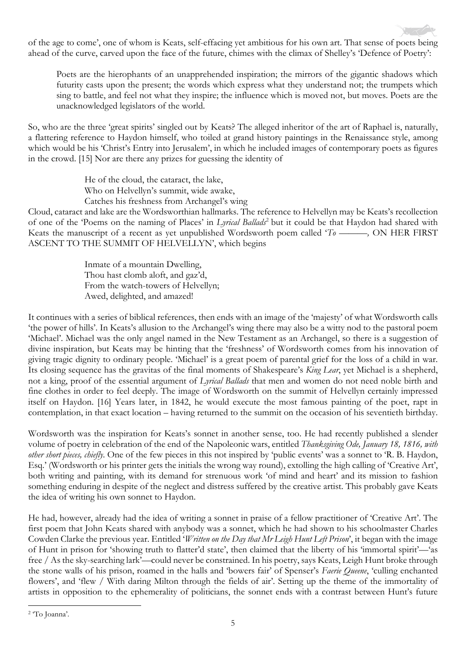of the age to come', one of whom is Keats, self-effacing yet ambitious for his own art. That sense of poets being ahead of the curve, carved upon the face of the future, chimes with the climax of Shelley's 'Defence of Poetry':

Poets are the hierophants of an unapprehended inspiration; the mirrors of the gigantic shadows which futurity casts upon the present; the words which express what they understand not; the trumpets which sing to battle, and feel not what they inspire; the influence which is moved not, but moves. Poets are the unacknowledged legislators of the world.

So, who are the three 'great spirits' singled out by Keats? The alleged inheritor of the art of Raphael is, naturally, a flattering reference to Haydon himself, who toiled at grand history paintings in the Renaissance style, among which would be his 'Christ's Entry into Jerusalem', in which he included images of contemporary poets as figures in the crowd. [15] Nor are there any prizes for guessing the identity of

> He of the cloud, the cataract, the lake, Who on Helvellyn's summit, wide awake, Catches his freshness from Archangel's wing

Cloud, cataract and lake are the Wordsworthian hallmarks. The reference to Helvellyn may be Keats's recollection of one of the 'Poems on the naming of Places' in *Lyrical Ballads*[2](#page-4-0) but it could be that Haydon had shared with Keats the manuscript of a recent as yet unpublished Wordsworth poem called '*To ———,* ON HER FIRST ASCENT TO THE SUMMIT OF HELVELLYN', which begins

> Inmate of a mountain Dwelling, Thou hast clomb aloft, and gaz'd, From the watch-towers of Helvellyn; Awed, delighted, and amazed!

It continues with a series of biblical references, then ends with an image of the 'majesty' of what Wordsworth calls 'the power of hills'. In Keats's allusion to the Archangel's wing there may also be a witty nod to the pastoral poem 'Michael'. Michael was the only angel named in the New Testament as an Archangel, so there is a suggestion of divine inspiration, but Keats may be hinting that the 'freshness' of Wordsworth comes from his innovation of giving tragic dignity to ordinary people. 'Michael' is a great poem of parental grief for the loss of a child in war. Its closing sequence has the gravitas of the final moments of Shakespeare's *King Lear*, yet Michael is a shepherd, not a king, proof of the essential argument of *Lyrical Ballads* that men and women do not need noble birth and fine clothes in order to feel deeply. The image of Wordsworth on the summit of Helvellyn certainly impressed itself on Haydon. [16] Years later, in 1842, he would execute the most famous painting of the poet, rapt in contemplation, in that exact location – having returned to the summit on the occasion of his seventieth birthday.

Wordsworth was the inspiration for Keats's sonnet in another sense, too. He had recently published a slender volume of poetry in celebration of the end of the Napoleonic wars, entitled *Thanksgiving Ode, January 18, 1816, with other short pieces, chiefly*. One of the few pieces in this not inspired by 'public events' was a sonnet to 'R. B. Haydon, Esq.' (Wordsworth or his printer gets the initials the wrong way round), extolling the high calling of 'Creative Art', both writing and painting, with its demand for strenuous work 'of mind and heart' and its mission to fashion something enduring in despite of the neglect and distress suffered by the creative artist. This probably gave Keats the idea of writing his own sonnet to Haydon.

He had, however, already had the idea of writing a sonnet in praise of a fellow practitioner of 'Creative Art'. The first poem that John Keats shared with anybody was a sonnet, which he had shown to his schoolmaster Charles Cowden Clarke the previous year. Entitled '*Written on the Day that Mr Leigh Hunt Left Prison*', it began with the image of Hunt in prison for 'showing truth to flatter'd state', then claimed that the liberty of his 'immortal spirit'—'as free / As the sky-searching lark'—could never be constrained. In his poetry, says Keats, Leigh Hunt broke through the stone walls of his prison, roamed in the halls and 'bowers fair' of Spenser's *Faerie Queene*, 'culling enchanted flowers', and 'flew / With daring Milton through the fields of air'. Setting up the theme of the immortality of artists in opposition to the ephemerality of politicians, the sonnet ends with a contrast between Hunt's future

<span id="page-4-0"></span><sup>2</sup> 'To Joanna'.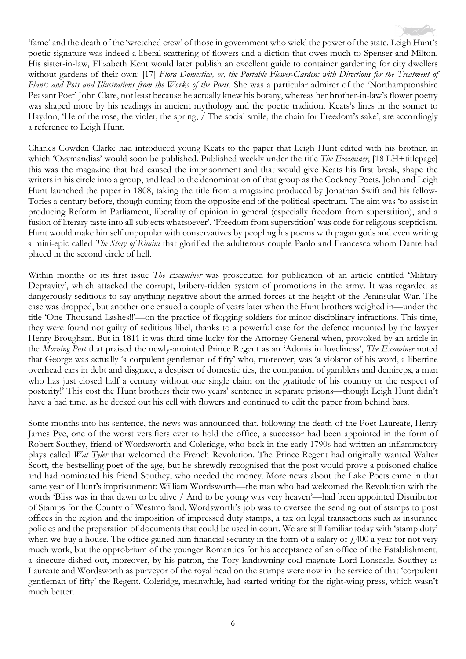'fame' and the death of the 'wretched crew' of those in government who wield the power of the state. Leigh Hunt's poetic signature was indeed a liberal scattering of flowers and a diction that owes much to Spenser and Milton. His sister-in-law, Elizabeth Kent would later publish an excellent guide to container gardening for city dwellers without gardens of their own: [17] *Flora Domestica, or, the Portable Flower-Garden: with Directions for the Treatment of Plants and Pots and Illustrations from the Works of the Poets.* She was a particular admirer of the 'Northamptonshire' Peasant Poet' John Clare, not least because he actually knew his botany, whereas her brother-in-law's flower poetry was shaped more by his readings in ancient mythology and the poetic tradition. Keats's lines in the sonnet to Haydon, 'He of the rose, the violet, the spring, / The social smile, the chain for Freedom's sake', are accordingly a reference to Leigh Hunt.

Charles Cowden Clarke had introduced young Keats to the paper that Leigh Hunt edited with his brother, in which 'Ozymandias' would soon be published. Published weekly under the title *The Examiner*, [18 LH+titlepage] this was the magazine that had caused the imprisonment and that would give Keats his first break, shape the writers in his circle into a group, and lead to the denomination of that group as the Cockney Poets. John and Leigh Hunt launched the paper in 1808, taking the title from a magazine produced by Jonathan Swift and his fellow-Tories a century before, though coming from the opposite end of the political spectrum. The aim was 'to assist in producing Reform in Parliament, liberality of opinion in general (especially freedom from superstition), and a fusion of literary taste into all subjects whatsoever'. 'Freedom from superstition' was code for religious scepticism. Hunt would make himself unpopular with conservatives by peopling his poems with pagan gods and even writing a mini-epic called *The Story of Rimini* that glorified the adulterous couple Paolo and Francesca whom Dante had placed in the second circle of hell.

Within months of its first issue *The Examiner* was prosecuted for publication of an article entitled 'Military Depravity', which attacked the corrupt, bribery-ridden system of promotions in the army. It was regarded as dangerously seditious to say anything negative about the armed forces at the height of the Peninsular War. The case was dropped, but another one ensued a couple of years later when the Hunt brothers weighed in—under the title 'One Thousand Lashes!!'—on the practice of flogging soldiers for minor disciplinary infractions. This time, they were found not guilty of seditious libel, thanks to a powerful case for the defence mounted by the lawyer Henry Brougham. But in 1811 it was third time lucky for the Attorney General when, provoked by an article in the *Morning Post* that praised the newly-anointed Prince Regent as an 'Adonis in loveliness', *The Examiner* noted that George was actually 'a corpulent gentleman of fifty' who, moreover, was 'a violator of his word, a libertine overhead ears in debt and disgrace, a despiser of domestic ties, the companion of gamblers and demireps, a man who has just closed half a century without one single claim on the gratitude of his country or the respect of posterity!' This cost the Hunt brothers their two years' sentence in separate prisons—though Leigh Hunt didn't have a bad time, as he decked out his cell with flowers and continued to edit the paper from behind bars.

Some months into his sentence, the news was announced that, following the death of the Poet Laureate, Henry James Pye, one of the worst versifiers ever to hold the office, a successor had been appointed in the form of Robert Southey, friend of Wordsworth and Coleridge, who back in the early 1790s had written an inflammatory plays called *Wat Tyler* that welcomed the French Revolution. The Prince Regent had originally wanted Walter Scott, the bestselling poet of the age, but he shrewdly recognised that the post would prove a poisoned chalice and had nominated his friend Southey, who needed the money. More news about the Lake Poets came in that same year of Hunt's imprisonment: William Wordsworth—the man who had welcomed the Revolution with the words 'Bliss was in that dawn to be alive / And to be young was very heaven'—had been appointed Distributor of Stamps for the County of Westmorland. Wordsworth's job was to oversee the sending out of stamps to post offices in the region and the imposition of impressed duty stamps, a tax on legal transactions such as insurance policies and the preparation of documents that could be used in court. We are still familiar today with 'stamp duty' when we buy a house. The office gained him financial security in the form of a salary of  $\ell$ 400 a year for not very much work, but the opprobrium of the younger Romantics for his acceptance of an office of the Establishment, a sinecure dished out, moreover, by his patron, the Tory landowning coal magnate Lord Lonsdale. Southey as Laureate and Wordsworth as purveyor of the royal head on the stamps were now in the service of that 'corpulent gentleman of fifty' the Regent. Coleridge, meanwhile, had started writing for the right-wing press, which wasn't much better.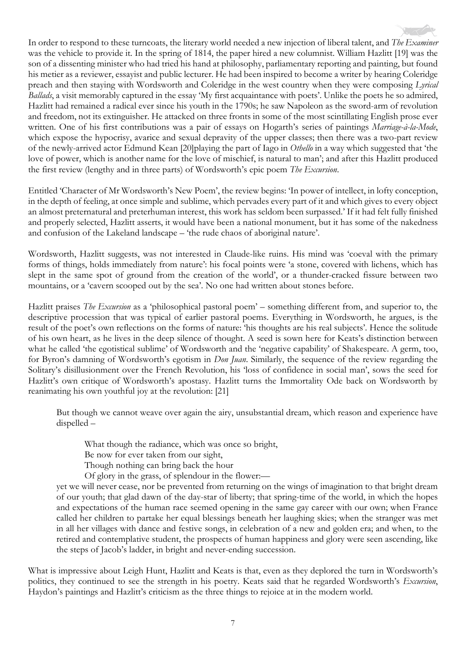In order to respond to these turncoats, the literary world needed a new injection of liberal talent, and *The Examiner* was the vehicle to provide it. In the spring of 1814, the paper hired a new columnist. William Hazlitt [19] was the son of a dissenting minister who had tried his hand at philosophy, parliamentary reporting and painting, but found his metier as a reviewer, essayist and public lecturer. He had been inspired to become a writer by hearing Coleridge preach and then staying with Wordsworth and Coleridge in the west country when they were composing *Lyrical Ballads*, a visit memorably captured in the essay 'My first acquaintance with poets'. Unlike the poets he so admired, Hazlitt had remained a radical ever since his youth in the 1790s; he saw Napoleon as the sword-arm of revolution and freedom, not its extinguisher. He attacked on three fronts in some of the most scintillating English prose ever written. One of his first contributions was a pair of essays on Hogarth's series of paintings *Marriage-à-la-Mode*, which expose the hypocrisy, avarice and sexual depravity of the upper classes; then there was a two-part review of the newly-arrived actor Edmund Kean [20]playing the part of Iago in *Othello* in a way which suggested that 'the love of power, which is another name for the love of mischief, is natural to man'; and after this Hazlitt produced the first review (lengthy and in three parts) of Wordsworth's epic poem *The Excursion*.

Entitled 'Character of Mr Wordsworth's New Poem', the review begins: 'In power of intellect, in lofty conception, in the depth of feeling, at once simple and sublime, which pervades every part of it and which gives to every object an almost preternatural and preterhuman interest, this work has seldom been surpassed.' If it had felt fully finished and properly selected, Hazlitt asserts, it would have been a national monument, but it has some of the nakedness and confusion of the Lakeland landscape – 'the rude chaos of aboriginal nature'.

Wordsworth, Hazlitt suggests, was not interested in Claude-like ruins. His mind was 'coeval with the primary forms of things, holds immediately from nature': his focal points were 'a stone, covered with lichens, which has slept in the same spot of ground from the creation of the world', or a thunder-cracked fissure between two mountains, or a 'cavern scooped out by the sea'. No one had written about stones before.

Hazlitt praises *The Excursion* as a 'philosophical pastoral poem' – something different from, and superior to, the descriptive procession that was typical of earlier pastoral poems. Everything in Wordsworth, he argues, is the result of the poet's own reflections on the forms of nature: 'his thoughts are his real subjects'. Hence the solitude of his own heart, as he lives in the deep silence of thought. A seed is sown here for Keats's distinction between what he called 'the egotistical sublime' of Wordsworth and the 'negative capability' of Shakespeare. A germ, too, for Byron's damning of Wordsworth's egotism in *Don Juan*. Similarly, the sequence of the review regarding the Solitary's disillusionment over the French Revolution, his 'loss of confidence in social man', sows the seed for Hazlitt's own critique of Wordsworth's apostasy. Hazlitt turns the Immortality Ode back on Wordsworth by reanimating his own youthful joy at the revolution: [21]

But though we cannot weave over again the airy, unsubstantial dream, which reason and experience have dispelled –

What though the radiance, which was once so bright,

Be now for ever taken from our sight,

Though nothing can bring back the hour

Of glory in the grass, of splendour in the flower:—

yet we will never cease, nor be prevented from returning on the wings of imagination to that bright dream of our youth; that glad dawn of the day-star of liberty; that spring-time of the world, in which the hopes and expectations of the human race seemed opening in the same gay career with our own; when France called her children to partake her equal blessings beneath her laughing skies; when the stranger was met in all her villages with dance and festive songs, in celebration of a new and golden era; and when, to the retired and contemplative student, the prospects of human happiness and glory were seen ascending, like the steps of Jacob's ladder, in bright and never-ending succession.

What is impressive about Leigh Hunt, Hazlitt and Keats is that, even as they deplored the turn in Wordsworth's politics, they continued to see the strength in his poetry. Keats said that he regarded Wordsworth's *Excursion*, Haydon's paintings and Hazlitt's criticism as the three things to rejoice at in the modern world.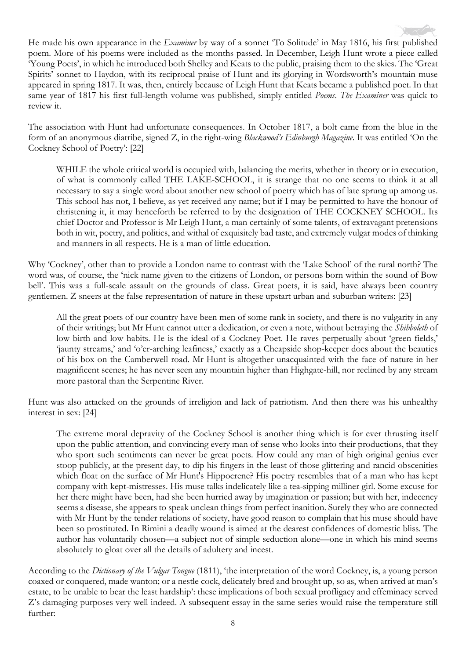He made his own appearance in the *Examiner* by way of a sonnet 'To Solitude' in May 1816, his first published poem. More of his poems were included as the months passed. In December, Leigh Hunt wrote a piece called 'Young Poets', in which he introduced both Shelley and Keats to the public, praising them to the skies. The 'Great Spirits' sonnet to Haydon, with its reciprocal praise of Hunt and its glorying in Wordsworth's mountain muse appeared in spring 1817. It was, then, entirely because of Leigh Hunt that Keats became a published poet. In that same year of 1817 his first full-length volume was published, simply entitled *Poems*. *The Examiner* was quick to review it.

The association with Hunt had unfortunate consequences. In October 1817, a bolt came from the blue in the form of an anonymous diatribe, signed Z, in the right-wing *Blackwood's Edinburgh Magazine*. It was entitled 'On the Cockney School of Poetry': [22]

WHILE the whole critical world is occupied with, balancing the merits, whether in theory or in execution, of what is commonly called THE LAKE-SCHOOL, it is strange that no one seems to think it at all necessary to say a single word about another new school of poetry which has of late sprung up among us. This school has not, I believe, as yet received any name; but if I may be permitted to have the honour of christening it, it may henceforth be referred to by the designation of THE COCKNEY SCHOOL. Its chief Doctor and Professor is Mr Leigh Hunt, a man certainly of some talents, of extravagant pretensions both in wit, poetry, and politics, and withal of exquisitely bad taste, and extremely vulgar modes of thinking and manners in all respects. He is a man of little education.

Why 'Cockney', other than to provide a London name to contrast with the 'Lake School' of the rural north? The word was, of course, the 'nick name given to the citizens of London, or persons born within the sound of Bow bell'. This was a full-scale assault on the grounds of class. Great poets, it is said, have always been country gentlemen. Z sneers at the false representation of nature in these upstart urban and suburban writers: [23]

All the great poets of our country have been men of some rank in society, and there is no vulgarity in any of their writings; but Mr Hunt cannot utter a dedication, or even a note, without betraying the *Shibboleth* of low birth and low habits. He is the ideal of a Cockney Poet. He raves perpetually about 'green fields,' 'jaunty streams,' and 'o'er-arching leafiness,' exactly as a Cheapside shop-keeper does about the beauties of his box on the Camberwell road. Mr Hunt is altogether unacquainted with the face of nature in her magnificent scenes; he has never seen any mountain higher than Highgate-hill, nor reclined by any stream more pastoral than the Serpentine River.

Hunt was also attacked on the grounds of irreligion and lack of patriotism. And then there was his unhealthy interest in sex: [24]

The extreme moral depravity of the Cockney School is another thing which is for ever thrusting itself upon the public attention, and convincing every man of sense who looks into their productions, that they who sport such sentiments can never be great poets. How could any man of high original genius ever stoop publicly, at the present day, to dip his fingers in the least of those glittering and rancid obscenities which float on the surface of Mr Hunt's Hippocrene? His poetry resembles that of a man who has kept company with kept-mistresses. His muse talks indelicately like a tea-sipping milliner girl. Some excuse for her there might have been, had she been hurried away by imagination or passion; but with her, indecency seems a disease, she appears to speak unclean things from perfect inanition. Surely they who are connected with Mr Hunt by the tender relations of society, have good reason to complain that his muse should have been so prostituted. In Rimini a deadly wound is aimed at the dearest confidences of domestic bliss. The author has voluntarily chosen—a subject not of simple seduction alone—one in which his mind seems absolutely to gloat over all the details of adultery and incest.

According to the *Dictionary of the Vulgar Tongue* (1811), 'the interpretation of the word Cockney, is, a young person coaxed or conquered, made wanton; or a nestle cock, delicately bred and brought up, so as, when arrived at man's estate, to be unable to bear the least hardship': these implications of both sexual profligacy and effeminacy served Z's damaging purposes very well indeed. A subsequent essay in the same series would raise the temperature still further: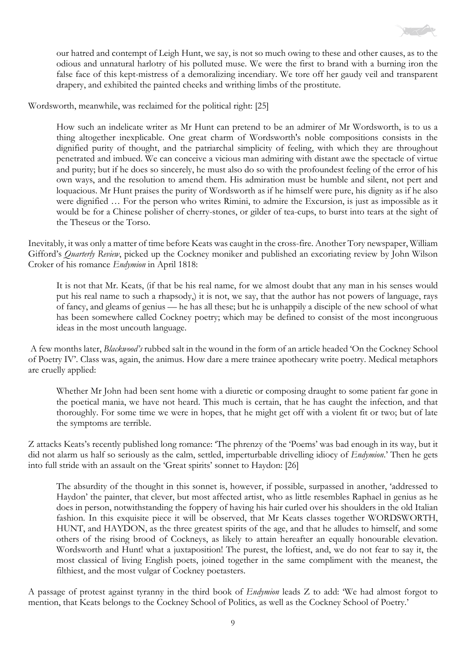

our hatred and contempt of Leigh Hunt, we say, is not so much owing to these and other causes, as to the odious and unnatural harlotry of his polluted muse. We were the first to brand with a burning iron the false face of this kept-mistress of a demoralizing incendiary. We tore off her gaudy veil and transparent drapery, and exhibited the painted cheeks and writhing limbs of the prostitute.

Wordsworth, meanwhile, was reclaimed for the political right: [25]

How such an indelicate writer as Mr Hunt can pretend to be an admirer of Mr Wordsworth, is to us a thing altogether inexplicable. One great charm of Wordsworth's noble compositions consists in the dignified purity of thought, and the patriarchal simplicity of feeling, with which they are throughout penetrated and imbued. We can conceive a vicious man admiring with distant awe the spectacle of virtue and purity; but if he does so sincerely, he must also do so with the profoundest feeling of the error of his own ways, and the resolution to amend them. His admiration must be humble and silent, not pert and loquacious. Mr Hunt praises the purity of Wordsworth as if he himself were pure, his dignity as if he also were dignified … For the person who writes Rimini, to admire the Excursion, is just as impossible as it would be for a Chinese polisher of cherry-stones, or gilder of tea-cups, to burst into tears at the sight of the Theseus or the Torso.

Inevitably, it was only a matter of time before Keats was caught in the cross-fire. Another Tory newspaper, William Gifford's *Quarterly Review*, picked up the Cockney moniker and published an excoriating review by John Wilson Croker of his romance *Endymion* in April 1818:

It is not that Mr. Keats, (if that be his real name, for we almost doubt that any man in his senses would put his real name to such a rhapsody,) it is not, we say, that the author has not powers of language, rays of fancy, and gleams of genius — he has all these; but he is unhappily a disciple of the new school of what has been somewhere called Cockney poetry; which may be defined to consist of the most incongruous ideas in the most uncouth language.

A few months later, *Blackwood's* rubbed salt in the wound in the form of an article headed 'On the Cockney School of Poetry IV'. Class was, again, the animus. How dare a mere trainee apothecary write poetry. Medical metaphors are cruelly applied:

Whether Mr John had been sent home with a diuretic or composing draught to some patient far gone in the poetical mania, we have not heard. This much is certain, that he has caught the infection, and that thoroughly. For some time we were in hopes, that he might get off with a violent fit or two; but of late the symptoms are terrible.

Z attacks Keats's recently published long romance: 'The phrenzy of the 'Poems' was bad enough in its way, but it did not alarm us half so seriously as the calm, settled, imperturbable drivelling idiocy of *Endymion*.' Then he gets into full stride with an assault on the 'Great spirits' sonnet to Haydon: [26]

The absurdity of the thought in this sonnet is, however, if possible, surpassed in another, 'addressed to Haydon' the painter, that clever, but most affected artist, who as little resembles Raphael in genius as he does in person, notwithstanding the foppery of having his hair curled over his shoulders in the old Italian fashion. In this exquisite piece it will be observed, that Mr Keats classes together WORDSWORTH, HUNT, and HAYDON, as the three greatest spirits of the age, and that he alludes to himself, and some others of the rising brood of Cockneys, as likely to attain hereafter an equally honourable elevation. Wordsworth and Hunt! what a juxtaposition! The purest, the loftiest, and, we do not fear to say it, the most classical of living English poets, joined together in the same compliment with the meanest, the filthiest, and the most vulgar of Cockney poetasters.

A passage of protest against tyranny in the third book of *Endymion* leads Z to add: 'We had almost forgot to mention, that Keats belongs to the Cockney School of Politics, as well as the Cockney School of Poetry.'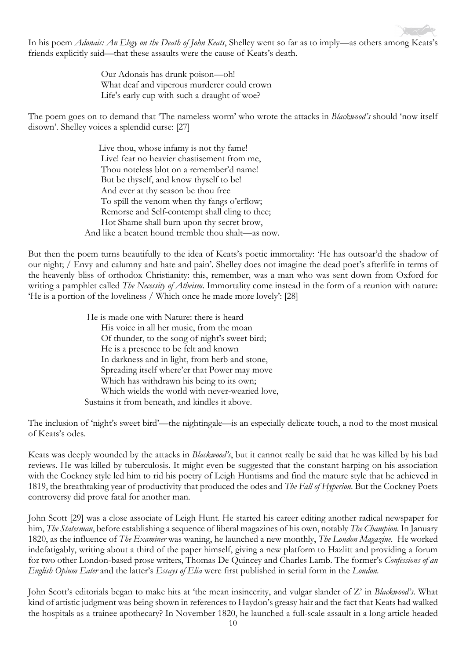In his poem *Adonais: An Elegy on the Death of John Keats*, Shelley went so far as to imply—as others among Keats's friends explicitly said—that these assaults were the cause of Keats's death.

> Our Adonais has drunk poison—oh! What deaf and viperous murderer could crown Life's early cup with such a draught of woe?

The poem goes on to demand that 'The nameless worm' who wrote the attacks in *Blackwood's* should 'now itself disown'. Shelley voices a splendid curse: [27]

> Live thou, whose infamy is not thy fame! Live! fear no heavier chastisement from me, Thou noteless blot on a remember'd name! But be thyself, and know thyself to be! And ever at thy season be thou free To spill the venom when thy fangs o'erflow; Remorse and Self-contempt shall cling to thee; Hot Shame shall burn upon thy secret brow, And like a beaten hound tremble thou shalt—as now.

But then the poem turns beautifully to the idea of Keats's poetic immortality: 'He has outsoar'd the shadow of our night; / Envy and calumny and hate and pain'. Shelley does not imagine the dead poet's afterlife in terms of the heavenly bliss of orthodox Christianity: this, remember, was a man who was sent down from Oxford for writing a pamphlet called *The Necessity of Atheism*. Immortality come instead in the form of a reunion with nature: 'He is a portion of the loveliness / Which once he made more lovely': [28]

> He is made one with Nature: there is heard His voice in all her music, from the moan Of thunder, to the song of night's sweet bird; He is a presence to be felt and known In darkness and in light, from herb and stone, Spreading itself where'er that Power may move Which has withdrawn his being to its own; Which wields the world with never-wearied love, Sustains it from beneath, and kindles it above.

The inclusion of 'night's sweet bird'—the nightingale—is an especially delicate touch, a nod to the most musical of Keats's odes.

Keats was deeply wounded by the attacks in *Blackwood's*, but it cannot really be said that he was killed by his bad reviews. He was killed by tuberculosis. It might even be suggested that the constant harping on his association with the Cockney style led him to rid his poetry of Leigh Huntisms and find the mature style that he achieved in 1819, the breathtaking year of productivity that produced the odes and *The Fall of Hyperion*. But the Cockney Poets controversy did prove fatal for another man.

John Scott [29] was a close associate of Leigh Hunt. He started his career editing another radical newspaper for him, *The Statesman*, before establishing a sequence of liberal magazines of his own, notably *The Champion*. In January 1820, as the influence of *The Examiner* was waning, he launched a new monthly, *The London Magazine*. He worked indefatigably, writing about a third of the paper himself, giving a new platform to Hazlitt and providing a forum for two other London-based prose writers, Thomas De Quincey and Charles Lamb. The former's *Confessions of an English Opium Eater* and the latter's *Essays of Elia* were first published in serial form in the *London*.

John Scott's editorials began to make hits at 'the mean insincerity, and vulgar slander of Z' in *Blackwood's*. What kind of artistic judgment was being shown in references to Haydon's greasy hair and the fact that Keats had walked the hospitals as a trainee apothecary? In November 1820, he launched a full-scale assault in a long article headed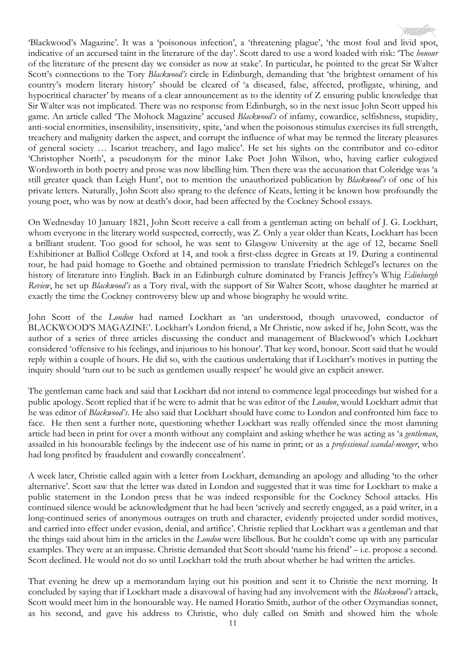'Blackwood's Magazine'. It was a 'poisonous infection', a 'threatening plague', 'the most foul and livid spot, indicative of an accursed taint in the literature of the day'. Scott dared to use a word loaded with risk: 'The *honour* of the literature of the present day we consider as now at stake'. In particular, he pointed to the great Sir Walter Scott's connections to the Tory *Blackwood's* circle in Edinburgh, demanding that 'the brightest ornament of his country's modern literary history' should be cleared of 'a diseased, false, affected, profligate, whining, and hypocritical character' by means of a clear announcement as to the identity of Z ensuring public knowledge that Sir Walter was not implicated. There was no response from Edinburgh, so in the next issue John Scott upped his game. An article called 'The Mohock Magazine' accused *Blackwood's* of infamy, cowardice, selfishness, stupidity, anti-social enormities, insensibility, insensitivity, spite, 'and when the poisonous stimulus exercises its full strength, treachery and malignity darken the aspect, and corrupt the influence of what may be termed the literary pleasures of general society … Iscariot treachery, and Iago malice'. He set his sights on the contributor and co-editor 'Christopher North', a pseudonym for the minor Lake Poet John Wilson, who, having earlier eulogized Wordsworth in both poetry and prose was now libelling him. Then there was the accusation that Coleridge was 'a still greater quack than Leigh Hunt', not to mention the unauthorized publication by *Blackwood's* of one of his private letters. Naturally, John Scott also sprang to the defence of Keats, letting it be known how profoundly the young poet, who was by now at death's door, had been affected by the Cockney School essays.

On Wednesday 10 January 1821, John Scott receive a call from a gentleman acting on behalf of J. G. Lockhart, whom everyone in the literary world suspected, correctly, was Z. Only a year older than Keats, Lockhart has been a brilliant student. Too good for school, he was sent to Glasgow University at the age of 12, became Snell Exhibitioner at Balliol College Oxford at 14, and took a first-class degree in Greats at 19. During a continental tour, he had paid homage to Goethe and obtained permission to translate Friedrich Schlegel's lectures on the history of literature into English. Back in an Edinburgh culture dominated by Francis Jeffrey's Whig *Edinburgh Review*, he set up *Blackwood's* as a Tory rival, with the support of Sir Walter Scott, whose daughter he married at exactly the time the Cockney controversy blew up and whose biography he would write.

John Scott of the *London* had named Lockhart as 'an understood, though unavowed, conductor of BLACKWOOD'S MAGAZINE'. Lockhart's London friend, a Mr Christie, now asked if he, John Scott, was the author of a series of three articles discussing the conduct and management of Blackwood's which Lockhart considered 'offensive to his feelings, and injurious to his honour'. That key word, honour. Scott said that he would reply within a couple of hours. He did so, with the cautious undertaking that if Lockhart's motives in putting the inquiry should 'turn out to be such as gentlemen usually respect' he would give an explicit answer.

The gentleman came back and said that Lockhart did not intend to commence legal proceedings but wished for a public apology. Scott replied that if he were to admit that he was editor of the *London*, would Lockhart admit that he was editor of *Blackwood's*. He also said that Lockhart should have come to London and confronted him face to face. He then sent a further note, questioning whether Lockhart was really offended since the most damning article had been in print for over a month without any complaint and asking whether he was acting as 'a *gentleman*, assailed in his honourable feelings by the indecent use of his name in print; or as a *professional scandal-monger*, who had long profited by fraudulent and cowardly concealment'.

A week later, Christie called again with a letter from Lockhart, demanding an apology and alluding 'to the other alternative'. Scott saw that the letter was dated in London and suggested that it was time for Lockhart to make a public statement in the London press that he was indeed responsible for the Cockney School attacks. His continued silence would be acknowledgment that he had been 'actively and secretly engaged, as a paid writer, in a long-continued series of anonymous outrages on truth and character, evidently projected under sordid motives, and carried into effect under evasion, denial, and artifice'. Christie replied that Lockhart was a gentleman and that the things said about him in the articles in the *London* were libellous. But he couldn't come up with any particular examples. They were at an impasse. Christie demanded that Scott should 'name his friend' – i.e. propose a second. Scott declined. He would not do so until Lockhart told the truth about whether he had written the articles.

That evening he drew up a memorandum laying out his position and sent it to Christie the next morning. It concluded by saying that if Lockhart made a disavowal of having had any involvement with the *Blackwood's* attack, Scott would meet him in the honourable way. He named Horatio Smith, author of the other Ozymandias sonnet, as his second, and gave his address to Christie, who duly called on Smith and showed him the whole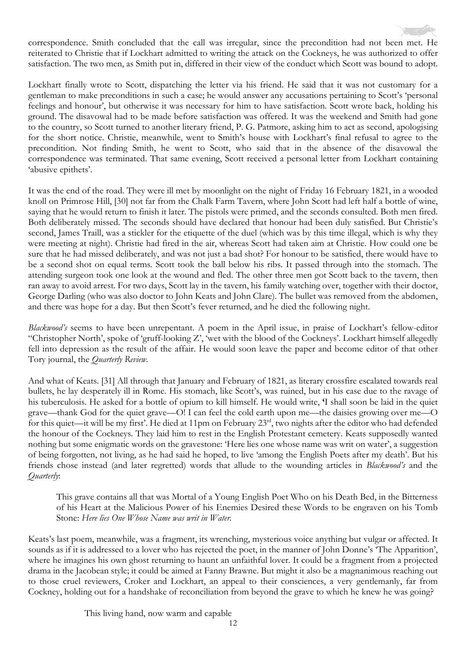

Lockhart finally wrote to Scott, dispatching the letter via his friend. He said that it was not customary for a gentleman to make preconditions in such a case; he would answer any accusations pertaining to Scott's 'personal feelings and honour', but otherwise it was necessary for him to have satisfaction. Scott wrote back, holding his ground. The disavowal had to be made before satisfaction was offered. It was the weekend and Smith had gone to the country, so Scott turned to another literary friend, P. G. Patmore, asking him to act as second, apologising for the short notice. Christie, meanwhile, went to Smith's house with Lockhart's final refusal to agree to the precondition. Not finding Smith, he went to Scott, who said that in the absence of the disavowal the correspondence was terminated. That same evening, Scott received a personal letter from Lockhart containing 'abusive epithets'.

It was the end of the road. They were ill met by moonlight on the night of Friday 16 February 1821, in a wooded knoll on Primrose Hill, [30] not far from the Chalk Farm Tavern, where John Scott had left half a bottle of wine, saying that he would return to finish it later. The pistols were primed, and the seconds consulted. Both men fired. Both deliberately missed. The seconds should have declared that honour had been duly satisfied. But Christie's second, James Traill, was a stickler for the etiquette of the duel (which was by this time illegal, which is why they were meeting at night). Christie had fired in the air, whereas Scott had taken aim at Christie. How could one be sure that he had missed deliberately, and was not just a bad shot? For honour to be satisfied, there would have to be a second shot on equal terms. Scott took the ball below his ribs. It passed through into the stomach. The attending surgeon took one look at the wound and fled. The other three men got Scott back to the tavern, then ran away to avoid arrest. For two days, Scott lay in the tavern, his family watching over, together with their doctor, George Darling (who was also doctor to John Keats and John Clare). The bullet was removed from the abdomen, and there was hope for a day. But then Scott's fever returned, and he died the following night.

*Blackwood's* seems to have been unrepentant. A poem in the April issue, in praise of Lockhart's fellow-editor "Christopher North', spoke of 'gruff-looking Z', 'wet with the blood of the Cockneys'. Lockhart himself allegedly fell into depression as the result of the affair. He would soon leave the paper and become editor of that other Tory journal, the *Quarterly Review*.

And what of Keats. [31] All through that January and February of 1821, as literary crossfire escalated towards real bullets, he lay desperately ill in Rome. His stomach, like Scott's, was ruined, but in his case due to the ravage of his tuberculosis. He asked for a bottle of opium to kill himself. He would write, **'**I shall soon be laid in the quiet grave—thank God for the quiet grave—O! I can feel the cold earth upon me—the daisies growing over me—O for this quiet—it will be my first'. He died at 11pm on February 23rd, two nights after the editor who had defended the honour of the Cockneys. They laid him to rest in the English Protestant cemetery. Keats supposedly wanted nothing but some enigmatic words on the gravestone: 'Here lies one whose name was writ on water', a suggestion of being forgotten, not living, as he had said he hoped, to live 'among the English Poets after my death'. But his friends chose instead (and later regretted) words that allude to the wounding articles in *Blackwood's* and the *Quarterly*:

This grave contains all that was Mortal of a Young English Poet Who on his Death Bed, in the Bitterness of his Heart at the Malicious Power of his Enemies Desired these Words to be engraven on his Tomb Stone: *Here lies One Whose Name was writ in Water.*

Keats's last poem, meanwhile, was a fragment, its wrenching, mysterious voice anything but vulgar or affected. It sounds as if it is addressed to a lover who has rejected the poet, in the manner of John Donne's 'The Apparition', where he imagines his own ghost returning to haunt an unfaithful lover. It could be a fragment from a projected drama in the Jacobean style; it could be aimed at Fanny Brawne. But might it also be a magnanimous reaching out to those cruel reviewers, Croker and Lockhart, an appeal to their consciences, a very gentlemanly, far from Cockney, holding out for a handshake of reconciliation from beyond the grave to which he knew he was going?

This living hand, now warm and capable